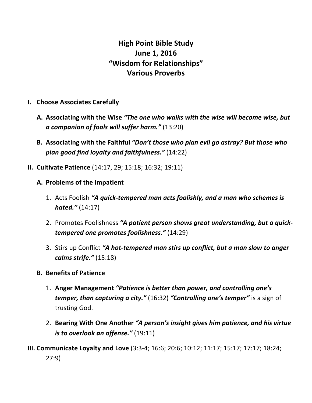## **High Point Bible Study June 1, 2016 "Wisdom for Relationships" Various Proverbs**

- **I.** Choose Associates Carefully
	- A. Associating with the Wise "The one who walks with the wise will become wise, but *a companion of fools will suffer harm."* (13:20)
	- **B.** Associating with the Faithful "Don't those who plan evil go astray? But those who *plan good find loyalty and faithfulness."* (14:22)
- **II. Cultivate Patience** (14:17, 29; 15:18; 16:32; 19:11)
	- A. Problems of the Impatient
		- 1. Acts Foolish **"A quick-tempered man acts foolishly, and a man who schemes is** *hated."* (14:17)
		- 2. Promotes Foolishness "A patient person shows great understanding, but a quick*tempered one promotes foolishness."* (14:29)
		- 3. Stirs up Conflict "A hot-tempered man stirs up conflict, but a man slow to anger *calms strife."* (15:18)
	- **B.** Benefits of Patience
		- 1. Anger Management "Patience is better than power, and controlling one's *temper, than capturing a city."* (16:32) "Controlling one's temper" is a sign of trusting God.
		- 2. Bearing With One Another "A person's insight gives him patience, and his virtue *is to overlook an offense."* (19:11)
- **III. Communicate Loyalty and Love** (3:3-4; 16:6; 20:6; 10:12; 11:17; 15:17; 17:17; 18:24; 27:9)